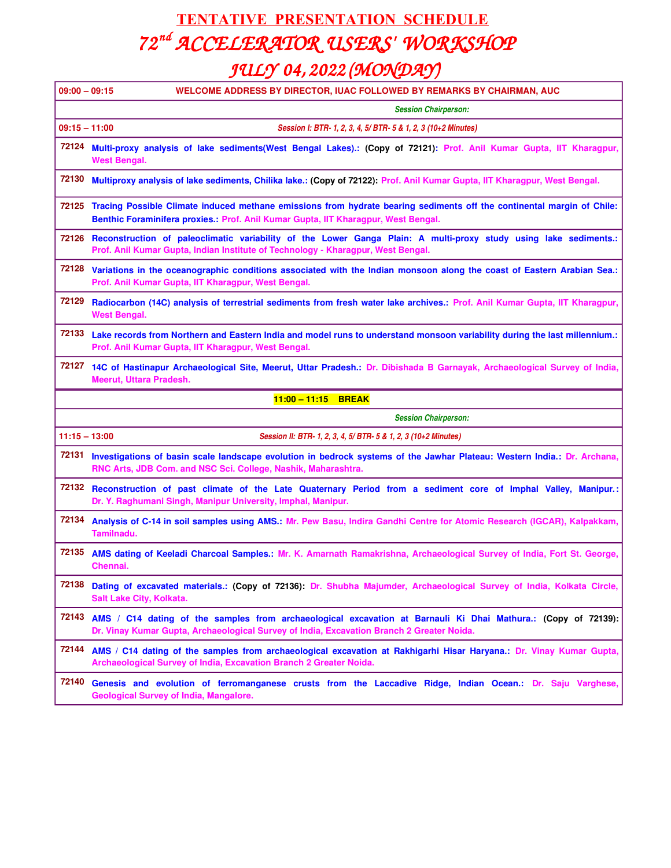#### **TENTATIVE PRESENTATION SCHEDULE** *72 nd ACCELERATOR USERS' WORKSHOP JULY 04, 2022 (MONDAY)*

| $09:00 - 09:15$     | <b>WELCOME ADDRESS BY DIRECTOR, IUAC FOLLOWED BY REMARKS BY CHAIRMAN, AUC</b>                                                                                                                                                                                                                              |
|---------------------|------------------------------------------------------------------------------------------------------------------------------------------------------------------------------------------------------------------------------------------------------------------------------------------------------------|
|                     | <b>Session Chairperson:</b>                                                                                                                                                                                                                                                                                |
| $09:15 - 11:00$     | Session I: BTR- 1, 2, 3, 4, 5/ BTR- 5 & 1, 2, 3 (10+2 Minutes)                                                                                                                                                                                                                                             |
| 72124               | Multi-proxy analysis of lake sediments(West Bengal Lakes).: (Copy of 72121): Prof. Anil Kumar Gupta, IIT Kharagpur,<br><b>West Bengal.</b>                                                                                                                                                                 |
| 72130               | Multiproxy analysis of lake sediments, Chilika lake.: (Copy of 72122): Prof. Anil Kumar Gupta, IIT Kharagpur, West Bengal.                                                                                                                                                                                 |
| 72125               | Tracing Possible Climate induced methane emissions from hydrate bearing sediments off the continental margin of Chile:<br>Benthic Foraminifera proxies.: Prof. Anil Kumar Gupta, IIT Kharagpur, West Bengal.                                                                                               |
|                     | 72126 Reconstruction of paleoclimatic variability of the Lower Ganga Plain: A multi-proxy study using lake sediments.:<br>Prof. Anil Kumar Gupta, Indian Institute of Technology - Kharagpur, West Bengal.                                                                                                 |
| 72128               | Variations in the oceanographic conditions associated with the Indian monsoon along the coast of Eastern Arabian Sea.:<br>Prof. Anil Kumar Gupta, IIT Kharagpur, West Bengal.                                                                                                                              |
| 72129               | Radiocarbon (14C) analysis of terrestrial sediments from fresh water lake archives.: Prof. Anil Kumar Gupta, IIT Kharagpur,<br><b>West Bengal.</b>                                                                                                                                                         |
| 72133               | Lake records from Northern and Eastern India and model runs to understand monsoon variability during the last millennium.:<br>Prof. Anil Kumar Gupta, IIT Kharagpur, West Bengal.                                                                                                                          |
| 72127               | 14C of Hastinapur Archaeological Site, Meerut, Uttar Pradesh.: Dr. Dibishada B Garnayak, Archaeological Survey of India,<br>Meerut, Uttara Pradesh.                                                                                                                                                        |
| 11:00 - 11:15 BREAK |                                                                                                                                                                                                                                                                                                            |
|                     |                                                                                                                                                                                                                                                                                                            |
|                     | <b>Session Chairperson:</b>                                                                                                                                                                                                                                                                                |
| $11:15 - 13:00$     | Session II: BTR- 1, 2, 3, 4, 5/ BTR- 5 & 1, 2, 3 (10+2 Minutes)                                                                                                                                                                                                                                            |
| 72131               | RNC Arts, JDB Com. and NSC Sci. College, Nashik, Maharashtra.                                                                                                                                                                                                                                              |
| 72132               | Reconstruction of past climate of the Late Quaternary Period from a sediment core of Imphal Valley, Manipur.:<br>Dr. Y. Raghumani Singh, Manipur University, Imphal, Manipur.                                                                                                                              |
| 72134               | Analysis of C-14 in soil samples using AMS.: Mr. Pew Basu, Indira Gandhi Centre for Atomic Research (IGCAR), Kalpakkam,<br>Tamilnadu.                                                                                                                                                                      |
| 72135               | AMS dating of Keeladi Charcoal Samples.: Mr. K. Amarnath Ramakrishna, Archaeological Survey of India, Fort St. George,<br>Chennai.                                                                                                                                                                         |
| 72138               | Investigations of basin scale landscape evolution in bedrock systems of the Jawhar Plateau: Western India.: Dr. Archana,<br>Dating of excavated materials.: (Copy of 72136): Dr. Shubha Majumder, Archaeological Survey of India, Kolkata Circle,<br>Salt Lake City, Kolkata.                              |
| 72143               | Dr. Vinay Kumar Gupta, Archaeological Survey of India, Excavation Branch 2 Greater Noida.                                                                                                                                                                                                                  |
| 72144               | AMS / C14 dating of the samples from archaeological excavation at Barnauli Ki Dhai Mathura.: (Copy of 72139):<br>AMS / C14 dating of the samples from archaeological excavation at Rakhigarhi Hisar Haryana.: Dr. Vinay Kumar Gupta,<br>Archaeological Survey of India, Excavation Branch 2 Greater Noida. |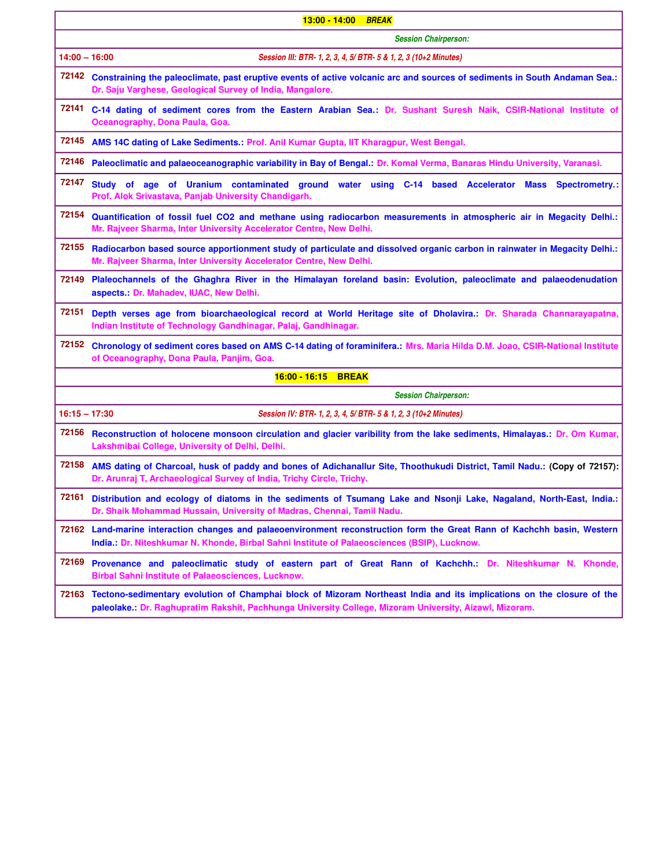|                 | 13:00 - 14:00 BREAK                                                                                                                                                                                                              |
|-----------------|----------------------------------------------------------------------------------------------------------------------------------------------------------------------------------------------------------------------------------|
|                 | <b>Session Chairperson:</b>                                                                                                                                                                                                      |
| $14:00 - 16:00$ | Session III: BTR- 1, 2, 3, 4, 5/ BTR- 5 & 1, 2, 3 (10+2 Minutes)                                                                                                                                                                 |
|                 | 72142 Constraining the paleoclimate, past eruptive events of active volcanic arc and sources of sediments in South Andaman Sea.:<br>Dr. Saju Varghese, Geological Survey of India, Mangalore.                                    |
| 72141           | C-14 dating of sediment cores from the Eastern Arabian Sea.: Dr. Sushant Suresh Naik, CSIR-National Institute of<br>Oceanography, Dona Paula, Goa.                                                                               |
| 72145           | AMS 14C dating of Lake Sediments.: Prof. Anil Kumar Gupta, IIT Kharagpur, West Bengal.                                                                                                                                           |
| 72146           | Paleoclimatic and palaeoceanographic variability in Bay of Bengal.: Dr. Komal Verma, Banaras Hindu University, Varanasi.                                                                                                         |
| 72147           | Study of age of Uranium contaminated ground water using C-14 based Accelerator Mass<br>Spectrometry.:<br>Prof. Alok Srivastava, Panjab University Chandigarh.                                                                    |
| 72154           | Quantification of fossil fuel CO2 and methane using radiocarbon measurements in atmospheric air in Megacity Delhi.:<br>Mr. Rajveer Sharma, Inter University Accelerator Centre, New Delhi.                                       |
| 72155           | Radiocarbon based source apportionment study of particulate and dissolved organic carbon in rainwater in Megacity Delhi.:<br>Mr. Rajveer Sharma, Inter University Accelerator Centre, New Delhi.                                 |
| 72149           | Plaleochannels of the Ghaghra River in the Himalayan foreland basin: Evolution, paleoclimate and palaeodenudation<br>aspects.: Dr. Mahadev, IUAC, New Delhi.                                                                     |
| 72151           | Depth verses age from bioarchaeological record at World Heritage site of Dholavira.: Dr. Sharada Channarayapatna,<br>Indian Institute of Technology Gandhinagar, Palaj, Gandhinagar.                                             |
| 72152           | Chronology of sediment cores based on AMS C-14 dating of foraminifera.: Mrs. Maria Hilda D.M. Joao, CSIR-National Institute<br>of Oceanography, Dona Paula, Panjim, Goa.                                                         |
|                 | 16:00 - 16:15 BREAK                                                                                                                                                                                                              |
|                 | <b>Session Chairperson:</b>                                                                                                                                                                                                      |
| $16:15 - 17:30$ | Session IV: BTR- 1, 2, 3, 4, 5/ BTR- 5 & 1, 2, 3 (10+2 Minutes)                                                                                                                                                                  |
| 72156           | Reconstruction of holocene monsoon circulation and glacier varibility from the lake sediments, Himalayas.: Dr. Om Kumar,<br>Lakshmibai College, University of Delhi, Delhi.                                                      |
| 72158           | AMS dating of Charcoal, husk of paddy and bones of Adichanallur Site, Thoothukudi District, Tamil Nadu.: (Copy of 72157):<br>Dr. Arunraj T, Archaeological Survey of India, Trichy Circle, Trichy.                               |
|                 | 72161 Distribution and ecology of diatoms in the sediments of Tsumang Lake and Nsonji Lake, Nagaland, North-East, India.:<br>Dr. Shaik Mohammad Hussain, University of Madras, Chennai, Tamil Nadu.                              |
| 72162           | Land-marine interaction changes and palaeoenvironment reconstruction form the Great Rann of Kachchh basin, Western<br>India.: Dr. Niteshkumar N. Khonde, Birbal Sahni Institute of Palaeosciences (BSIP), Lucknow.               |
| 72169           | Provenance and paleoclimatic study of eastern part of Great Rann of Kachchh.: Dr. Niteshkumar N. Khonde,<br><b>Birbal Sahni Institute of Palaeosciences, Lucknow.</b>                                                            |
| 72163           | Tectono-sedimentary evolution of Champhai block of Mizoram Northeast India and its implications on the closure of the<br>paleolake.: Dr. Raghupratim Rakshit, Pachhunga University College, Mizoram University, Aizawl, Mizoram. |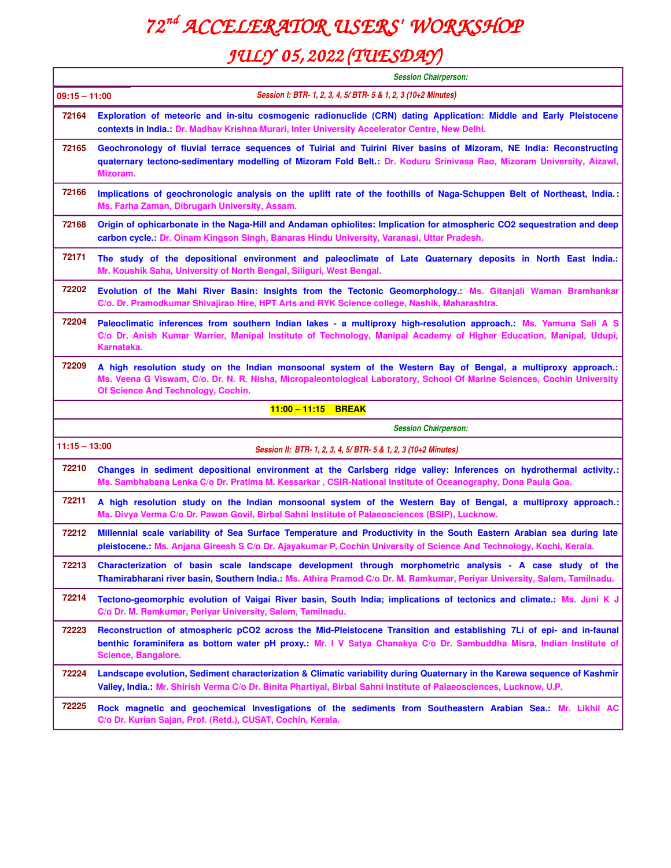## *72 nd ACCELERATOR USERS' WORKSHOP*

### *JULY 05, 2022 (TUESDAY)*

|                                                                                   | <b>Session Chairperson:</b>                                                                                                                                                                                                                                                   |
|-----------------------------------------------------------------------------------|-------------------------------------------------------------------------------------------------------------------------------------------------------------------------------------------------------------------------------------------------------------------------------|
| Session I: BTR- 1, 2, 3, 4, 5/ BTR- 5 & 1, 2, 3 (10+2 Minutes)<br>$09:15 - 11:00$ |                                                                                                                                                                                                                                                                               |
| 72164                                                                             | Exploration of meteoric and in-situ cosmogenic radionuclide (CRN) dating Application: Middle and Early Pleistocene<br>contexts in India.: Dr. Madhav Krishna Murari, Inter University Accelerator Centre, New Delhi.                                                          |
| 72165                                                                             | Geochronology of fluvial terrace sequences of Tuirial and Tuirini River basins of Mizoram, NE India: Reconstructing<br>quaternary tectono-sedimentary modelling of Mizoram Fold Belt.: Dr. Koduru Srinivasa Rao, Mizoram University, Aizawl,<br>Mizoram.                      |
| 72166                                                                             | Implications of geochronologic analysis on the uplift rate of the foothills of Naga-Schuppen Belt of Northeast, India.:<br>Ms. Farha Zaman, Dibrugarh University, Assam.                                                                                                      |
| 72168                                                                             | Origin of ophicarbonate in the Naga-Hill and Andaman ophiolites: Implication for atmospheric CO2 sequestration and deep<br>carbon cycle.: Dr. Oinam Kingson Singh, Banaras Hindu University, Varanasi, Uttar Pradesh.                                                         |
| 72171                                                                             | The study of the depositional environment and paleoclimate of Late Quaternary deposits in North East India.:<br>Mr. Koushik Saha, University of North Bengal, Siliguri, West Bengal.                                                                                          |
| 72202                                                                             | Evolution of the Mahi River Basin: Insights from the Tectonic Geomorphology.: Ms. Gitanjali Waman Bramhankar<br>C/o. Dr. Pramodkumar Shivajirao Hire, HPT Arts and RYK Science college, Nashik, Maharashtra.                                                                  |
| 72204                                                                             | Paleoclimatic inferences from southern Indian lakes - a multiproxy high-resolution approach.: Ms. Yamuna Sali A S<br>C/o Dr. Anish Kumar Warrier, Manipal Institute of Technology, Manipal Academy of Higher Education, Manipal, Udupi,<br>Karnataka.                         |
| 72209                                                                             | A high resolution study on the Indian monsoonal system of the Western Bay of Bengal, a multiproxy approach.:<br>Ms. Veena G Viswam, C/o. Dr. N. R. Nisha, Micropaleontological Laboratory, School Of Marine Sciences, Cochin University<br>Of Science And Technology, Cochin. |
|                                                                                   |                                                                                                                                                                                                                                                                               |
|                                                                                   | 11:00 - 11:15 BREAK                                                                                                                                                                                                                                                           |
|                                                                                   | <b>Session Chairperson:</b>                                                                                                                                                                                                                                                   |
| $11:15 - 13:00$                                                                   | Session II: BTR- 1, 2, 3, 4, 5/ BTR- 5 & 1, 2, 3 (10+2 Minutes)                                                                                                                                                                                                               |
| 72210                                                                             | Changes in sediment depositional environment at the Carlsberg ridge valley: Inferences on hydrothermal activity.:<br>Ms. Sambhabana Lenka C/o Dr. Pratima M. Kessarkar, CSIR-National Institute of Oceanography, Dona Paula Goa.                                              |
| 72211                                                                             | A high resolution study on the Indian monsoonal system of the Western Bay of Bengal, a multiproxy approach.:<br>Ms. Divya Verma C/o Dr. Pawan Govil, Birbal Sahni Institute of Palaeosciences (BSIP), Lucknow.                                                                |
| 72212                                                                             | Millennial scale variability of Sea Surface Temperature and Productivity in the South Eastern Arabian sea during late<br>pleistocene.: Ms. Anjana Gireesh S C/o Dr. Ajayakumar P, Cochin University of Science And Technology, Kochi, Kerala.                                 |
| 72213                                                                             | Characterization of basin scale landscape development through morphometric analysis - A case study of the<br>Thamirabharani river basin, Southern India.: Ms. Athira Pramod C/o Dr. M. Ramkumar, Periyar University, Salem, Tamilnadu.                                        |
| 72214                                                                             | Tectono-geomorphic evolution of Vaigai River basin, South India; implications of tectonics and climate Ms. Juni K J<br>C/o Dr. M. Ramkumar, Periyar University, Salem, Tamilnadu.                                                                                             |
| 72223                                                                             | Reconstruction of atmospheric pCO2 across the Mid-Pleistocene Transition and establishing 7Li of epi- and in-faunal<br>benthic foraminifera as bottom water pH proxy.: Mr. I V Satya Chanakya C/o Dr. Sambuddha Misra, Indian Institute of<br>Science, Bangalore.             |
| 72224                                                                             | Landscape evolution, Sediment characterization & Climatic variability during Quaternary in the Karewa sequence of Kashmir<br>Valley, India.: Mr. Shirish Verma C/o Dr. Binita Phartiyal, Birbal Sahni Institute of Palaeosciences, Lucknow, U.P.                              |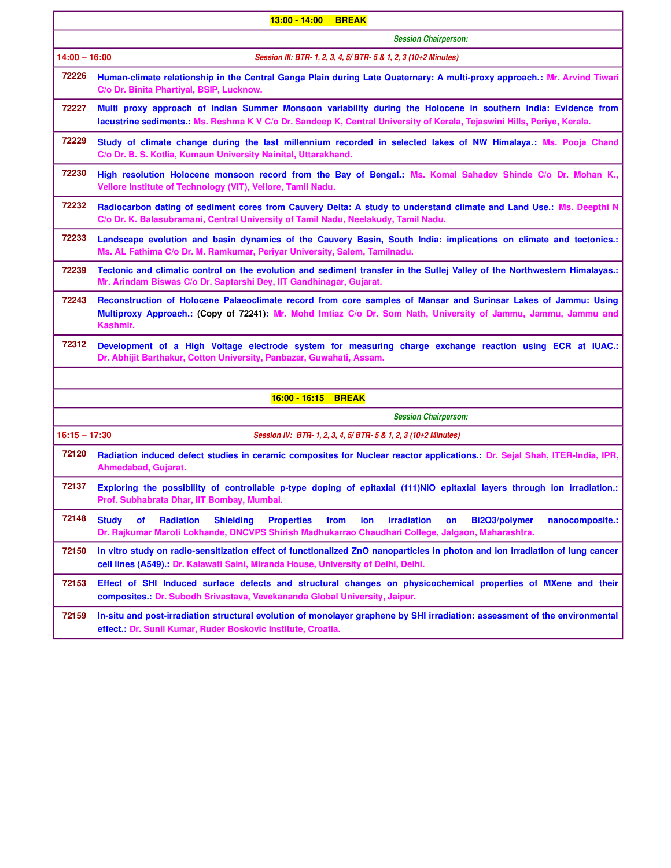| $13:00 - 14:00$<br><b>BREAK</b> |                                                                                                                                                                                                                                                              |
|---------------------------------|--------------------------------------------------------------------------------------------------------------------------------------------------------------------------------------------------------------------------------------------------------------|
|                                 | <b>Session Chairperson:</b>                                                                                                                                                                                                                                  |
| $14:00 - 16:00$                 | Session III: BTR- 1, 2, 3, 4, 5/ BTR- 5 & 1, 2, 3 (10+2 Minutes)                                                                                                                                                                                             |
| 72226                           | Human-climate relationship in the Central Ganga Plain during Late Quaternary: A multi-proxy approach.: Mr. Arvind Tiwari<br>C/o Dr. Binita Phartiyal, BSIP, Lucknow.                                                                                         |
| 72227                           | Multi proxy approach of Indian Summer Monsoon variability during the Holocene in southern India: Evidence from<br>lacustrine sediments.: Ms. Reshma K V C/o Dr. Sandeep K, Central University of Kerala, Tejaswini Hills, Periye, Kerala.                    |
| 72229                           | Study of climate change during the last millennium recorded in selected lakes of NW Himalaya.: Ms. Pooja Chand<br>C/o Dr. B. S. Kotlia, Kumaun University Nainital, Uttarakhand.                                                                             |
| 72230                           | High resolution Holocene monsoon record from the Bay of Bengal.: Ms. Komal Sahadev Shinde C/o Dr. Mohan K.,<br>Vellore Institute of Technology (VIT), Vellore, Tamil Nadu.                                                                                   |
| 72232                           | Radiocarbon dating of sediment cores from Cauvery Delta: A study to understand climate and Land Use.: Ms. Deepthi N<br>C/o Dr. K. Balasubramani, Central University of Tamil Nadu, Neelakudy, Tamil Nadu.                                                    |
| 72233                           | Landscape evolution and basin dynamics of the Cauvery Basin, South India: implications on climate and tectonics.:<br>Ms. AL Fathima C/o Dr. M. Ramkumar, Periyar University, Salem, Tamilnadu.                                                               |
| 72239                           | Tectonic and climatic control on the evolution and sediment transfer in the Sutlej Valley of the Northwestern Himalayas.:<br>Mr. Arindam Biswas C/o Dr. Saptarshi Dey, IIT Gandhinagar, Gujarat.                                                             |
| 72243                           | Reconstruction of Holocene Palaeoclimate record from core samples of Mansar and Surinsar Lakes of Jammu: Using<br>Multiproxy Approach.: (Copy of 72241): Mr. Mohd Imtiaz C/o Dr. Som Nath, University of Jammu, Jammu, Jammu and<br>Kashmir.                 |
| 72312                           | Development of a High Voltage electrode system for measuring charge exchange reaction using ECR at IUAC.:<br>Dr. Abhijit Barthakur, Cotton University, Panbazar, Guwahati, Assam.                                                                            |
|                                 |                                                                                                                                                                                                                                                              |
|                                 | 16:00 - 16:15 BREAK                                                                                                                                                                                                                                          |
|                                 | <b>Session Chairperson:</b>                                                                                                                                                                                                                                  |
| $16:15 - 17:30$                 | Session IV: BTR- 1, 2, 3, 4, 5/ BTR- 5 & 1, 2, 3 (10+2 Minutes)                                                                                                                                                                                              |
| 72120                           | Radiation induced defect studies in ceramic composites for Nuclear reactor applications.: Dr. Sejal Shah, ITER-India, IPR,<br>Ahmedabad, Gujarat.                                                                                                            |
| 72137                           | Exploring the possibility of controllable p-type doping of epitaxial (111)NiO epitaxial layers through ion irradiation.:<br>Prof. Subhabrata Dhar, IIT Bombay, Mumbai.                                                                                       |
| 72148                           | irradiation<br><b>Study</b><br>of<br><b>Radiation</b><br><b>Shielding</b><br><b>Properties</b><br>from<br>ion<br>Bi2O3/polymer<br>on<br>nanocomposite.:<br>Dr. Rajkumar Maroti Lokhande, DNCVPS Shirish Madhukarrao Chaudhari College, Jalgaon, Maharashtra. |
| 72150                           | In vitro study on radio-sensitization effect of functionalized ZnO nanoparticles in photon and ion irradiation of lung cancer<br>cell lines (A549).: Dr. Kalawati Saini, Miranda House, University of Delhi, Delhi.                                          |
| 72153                           | Effect of SHI Induced surface defects and structural changes on physicochemical properties of MXene and their<br>composites.: Dr. Subodh Srivastava, Vevekananda Global University, Jaipur.                                                                  |
| 72159                           | In-situ and post-irradiation structural evolution of monolayer graphene by SHI irradiation: assessment of the environmental<br>effect.: Dr. Sunil Kumar, Ruder Boskovic Institute, Croatia.                                                                  |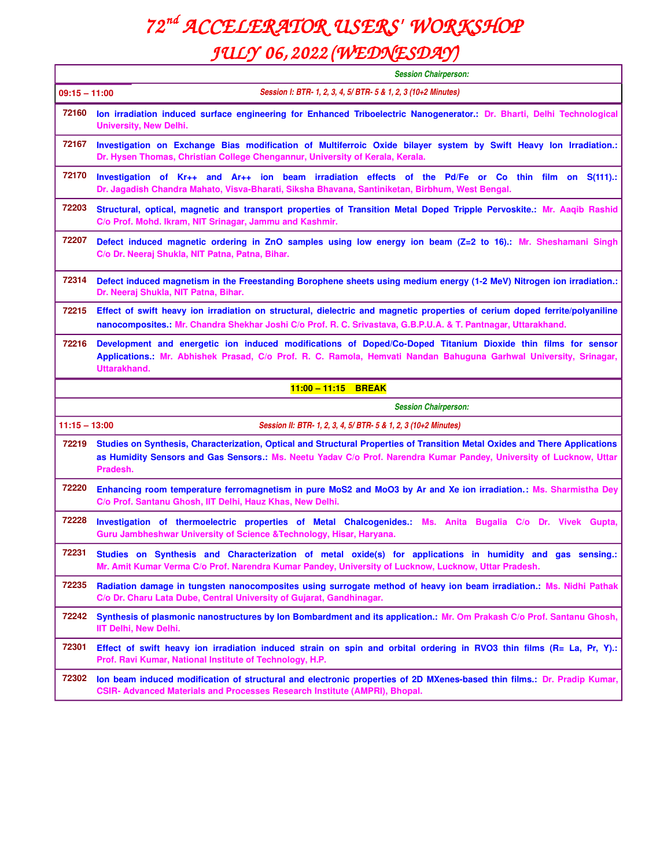# *72 nd ACCELERATOR USERS' WORKSHOP*

#### *JULY 06, 2022 (WEDNESDAY)*

|                 | <b>Session Chairperson:</b>                                                                                                                                                                                                                                    |
|-----------------|----------------------------------------------------------------------------------------------------------------------------------------------------------------------------------------------------------------------------------------------------------------|
| $09:15 - 11:00$ | Session I: BTR- 1, 2, 3, 4, 5/ BTR- 5 & 1, 2, 3 (10+2 Minutes)                                                                                                                                                                                                 |
| 72160           | Ion irradiation induced surface engineering for Enhanced Triboelectric Nanogenerator.: Dr. Bharti, Delhi Technological<br><b>University, New Delhi.</b>                                                                                                        |
| 72167           | Investigation on Exchange Bias modification of Multiferroic Oxide bilayer system by Swift Heavy Ion Irradiation.:<br>Dr. Hysen Thomas, Christian College Chengannur, University of Kerala, Kerala.                                                             |
| 72170           | Investigation of Kr++ and Ar++ ion beam irradiation effects of the Pd/Fe or Co thin film on S(111).:<br>Dr. Jagadish Chandra Mahato, Visva-Bharati, Siksha Bhavana, Santiniketan, Birbhum, West Bengal.                                                        |
| 72203           | Structural, optical, magnetic and transport properties of Transition Metal Doped Tripple Pervoskite.: Mr. Aaqib Rashid<br>C/o Prof. Mohd. Ikram, NIT Srinagar, Jammu and Kashmir.                                                                              |
| 72207           | Defect induced magnetic ordering in ZnO samples using low energy ion beam (Z=2 to 16). Mr. Sheshamani Singh<br>C/o Dr. Neeraj Shukla, NIT Patna, Patna, Bihar.                                                                                                 |
| 72314           | Defect induced magnetism in the Freestanding Borophene sheets using medium energy (1-2 MeV) Nitrogen ion irradiation.:<br>Dr. Neeraj Shukla, NIT Patna, Bihar.                                                                                                 |
| 72215           | Effect of swift heavy ion irradiation on structural, dielectric and magnetic properties of cerium doped ferrite/polyaniline<br>nanocomposites.: Mr. Chandra Shekhar Joshi C/o Prof. R. C. Srivastava, G.B.P.U.A. & T. Pantnagar, Uttarakhand.                  |
| 72216           | Development and energetic ion induced modifications of Doped/Co-Doped Titanium Dioxide thin films for sensor<br>Applications.: Mr. Abhishek Prasad, C/o Prof. R. C. Ramola, Hemvati Nandan Bahuguna Garhwal University, Srinagar,<br>Uttarakhand.              |
|                 | 11:00 - 11:15 BREAK                                                                                                                                                                                                                                            |
|                 | <b>Session Chairperson:</b>                                                                                                                                                                                                                                    |
| $11:15 - 13:00$ | Session II: BTR- 1, 2, 3, 4, 5/ BTR- 5 & 1, 2, 3 (10+2 Minutes)                                                                                                                                                                                                |
| 72219           | Studies on Synthesis, Characterization, Optical and Structural Properties of Transition Metal Oxides and There Applications<br>as Humidity Sensors and Gas Sensors.: Ms. Neetu Yadav C/o Prof. Narendra Kumar Pandey, University of Lucknow, Uttar<br>Pradesh. |
| 72220           | Enhancing room temperature ferromagnetism in pure MoS2 and MoO3 by Ar and Xe ion irradiation.: Ms. Sharmistha Dey<br>C/o Prof. Santanu Ghosh, IIT Delhi, Hauz Khas, New Delhi.                                                                                 |
| 72228           | Investigation of thermoelectric properties of Metal Chalcogenides.: Ms. Anita Bugalia C/o Dr. Vivek Gupta,<br>Guru Jambheshwar University of Science & Technology, Hisar, Haryana.                                                                             |
| 72231           | Studies on Synthesis and Characterization of metal oxide(s) for applications in humidity and gas sensing.:<br>Mr. Amit Kumar Verma C/o Prof. Narendra Kumar Pandey, University of Lucknow, Lucknow, Uttar Pradesh.                                             |
| 72235           | Radiation damage in tungsten nanocomposites using surrogate method of heavy ion beam irradiation.: Ms. Nidhi Pathak<br>C/o Dr. Charu Lata Dube, Central University of Gujarat, Gandhinagar.                                                                    |
| 72242           | Synthesis of plasmonic nanostructures by Ion Bombardment and its application.: Mr. Om Prakash C/o Prof. Santanu Ghosh,<br><b>IIT Delhi, New Delhi.</b>                                                                                                         |
| 72301           | Effect of swift heavy ion irradiation induced strain on spin and orbital ordering in RVO3 thin films $(R = La, Pr, Y)$ .:<br>Prof. Ravi Kumar, National Institute of Technology, H.P.                                                                          |
| 72302           | Ion beam induced modification of structural and electronic properties of 2D MXenes-based thin films.: Dr. Pradip Kumar,                                                                                                                                        |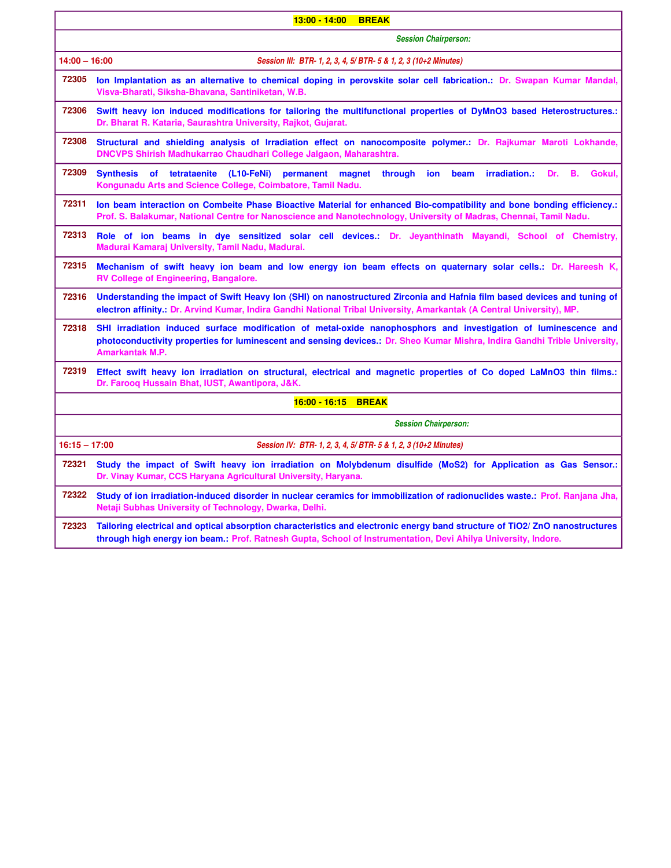| $13:00 - 14:00$<br><b>BREAK</b>                                                     |                                                                                                                                                                                                                                                                         |
|-------------------------------------------------------------------------------------|-------------------------------------------------------------------------------------------------------------------------------------------------------------------------------------------------------------------------------------------------------------------------|
|                                                                                     | <b>Session Chairperson:</b>                                                                                                                                                                                                                                             |
| $14:00 - 16:00$<br>Session III: BTR- 1, 2, 3, 4, 5/ BTR- 5 & 1, 2, 3 (10+2 Minutes) |                                                                                                                                                                                                                                                                         |
| 72305                                                                               | lon Implantation as an alternative to chemical doping in perovskite solar cell fabrication.: Dr. Swapan Kumar Mandal,<br>Visva-Bharati, Siksha-Bhavana, Santiniketan, W.B.                                                                                              |
| 72306                                                                               | Swift heavy ion induced modifications for tailoring the multifunctional properties of DyMnO3 based Heterostructures.:<br>Dr. Bharat R. Kataria, Saurashtra University, Rajkot, Gujarat.                                                                                 |
| 72308                                                                               | Structural and shielding analysis of Irradiation effect on nanocomposite polymer.: Dr. Rajkumar Maroti Lokhande,<br>DNCVPS Shirish Madhukarrao Chaudhari College Jalgaon, Maharashtra.                                                                                  |
| 72309                                                                               | В.<br>Gokul,<br><b>Synthesis</b><br>tetrataenite<br>$(L10-FeNi)$<br>through<br>ion<br>beam<br>irradiation.:<br>Dr.<br>of<br>permanent<br>magnet<br>Kongunadu Arts and Science College, Coimbatore, Tamil Nadu.                                                          |
| 72311                                                                               | lon beam interaction on Combeite Phase Bioactive Material for enhanced Bio-compatibility and bone bonding efficiency.:<br>Prof. S. Balakumar, National Centre for Nanoscience and Nanotechnology, University of Madras, Chennai, Tamil Nadu.                            |
| 72313                                                                               | Role of ion beams in dye sensitized solar cell devices.: Dr. Jeyanthinath Mayandi, School of Chemistry,<br>Madurai Kamaraj University, Tamil Nadu, Madurai.                                                                                                             |
| 72315                                                                               | Mechanism of swift heavy ion beam and low energy ion beam effects on quaternary solar cells.: Dr. Hareesh K,<br>RV College of Engineering, Bangalore.                                                                                                                   |
| 72316                                                                               | Understanding the impact of Swift Heavy Ion (SHI) on nanostructured Zirconia and Hafnia film based devices and tuning of<br>electron affinity.: Dr. Arvind Kumar, Indira Gandhi National Tribal University, Amarkantak (A Central University), MP.                      |
| 72318                                                                               | SHI irradiation induced surface modification of metal-oxide nanophosphors and investigation of luminescence and<br>photoconductivity properties for luminescent and sensing devices.: Dr. Sheo Kumar Mishra, Indira Gandhi Trible University,<br><b>Amarkantak M.P.</b> |
| 72319                                                                               | Effect swift heavy ion irradiation on structural, electrical and magnetic properties of Co doped LaMnO3 thin films.:<br>Dr. Farooq Hussain Bhat, IUST, Awantipora, J&K.                                                                                                 |
|                                                                                     | 16:00 - 16:15 BREAK                                                                                                                                                                                                                                                     |
|                                                                                     | <b>Session Chairperson:</b>                                                                                                                                                                                                                                             |
| $16:15 - 17:00$                                                                     | Session IV: BTR- 1, 2, 3, 4, 5/ BTR- 5 & 1, 2, 3 (10+2 Minutes)                                                                                                                                                                                                         |
| 72321                                                                               | Study the impact of Swift heavy ion irradiation on Molybdenum disulfide (MoS2) for Application as Gas Sensor.:<br>Dr. Vinay Kumar, CCS Haryana Agricultural University, Haryana.                                                                                        |
| 72322                                                                               | Study of ion irradiation-induced disorder in nuclear ceramics for immobilization of radionuclides waste.: Prof. Ranjana Jha,<br>Netaji Subhas University of Technology, Dwarka, Delhi.                                                                                  |
| 72323                                                                               | Tailoring electrical and optical absorption characteristics and electronic energy band structure of TiO2/ZnO nanostructures<br>through high energy ion beam.: Prof. Ratnesh Gupta, School of Instrumentation, Devi Ahilya University, Indore.                           |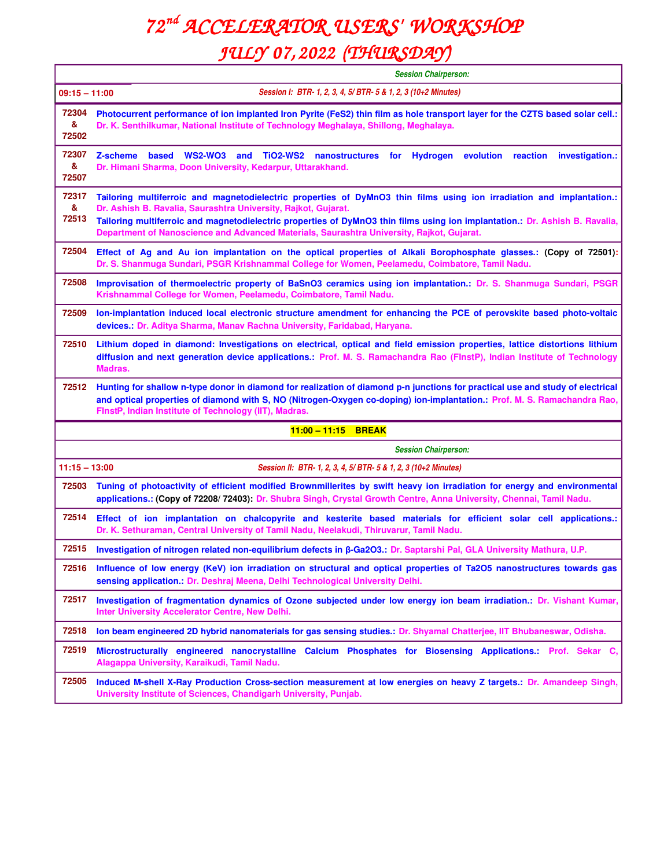# *72 nd ACCELERATOR USERS' WORKSHOP*

### *JULY 07, 2022 (THURSDAY)*

|                     | <b>Session Chairperson:</b>                                                                                                                                                                                                                                                                                                                                                                                          |  |  |
|---------------------|----------------------------------------------------------------------------------------------------------------------------------------------------------------------------------------------------------------------------------------------------------------------------------------------------------------------------------------------------------------------------------------------------------------------|--|--|
|                     | Session I: BTR- 1, 2, 3, 4, 5/ BTR- 5 & 1, 2, 3 (10+2 Minutes)<br>$09:15 - 11:00$                                                                                                                                                                                                                                                                                                                                    |  |  |
| 72304<br>&<br>72502 | Photocurrent performance of ion implanted Iron Pyrite (FeS2) thin film as hole transport layer for the CZTS based solar cell.:<br>Dr. K. Senthilkumar, National Institute of Technology Meghalaya, Shillong, Meghalaya.                                                                                                                                                                                              |  |  |
| 72307<br>&<br>72507 | Z-scheme<br><b>WS2-WO3</b><br>and TiO2-WS2<br>nanostructures for Hydrogen<br>evolution<br>investigation.:<br>based<br>reaction<br>Dr. Himani Sharma, Doon University, Kedarpur, Uttarakhand.                                                                                                                                                                                                                         |  |  |
| 72317<br>&<br>72513 | Tailoring multiferroic and magnetodielectric properties of DyMnO3 thin films using ion irradiation and implantation.:<br>Dr. Ashish B. Ravalia, Saurashtra University, Rajkot, Gujarat.<br>Tailoring multiferroic and magnetodielectric properties of DyMnO3 thin films using ion implantation.: Dr. Ashish B. Ravalia,<br>Department of Nanoscience and Advanced Materials, Saurashtra University, Rajkot, Gujarat. |  |  |
| 72504               | Effect of Ag and Au ion implantation on the optical properties of Alkali Borophosphate glasses.: (Copy of 72501):<br>Dr. S. Shanmuga Sundari, PSGR Krishnammal College for Women, Peelamedu, Coimbatore, Tamil Nadu.                                                                                                                                                                                                 |  |  |
| 72508               | Improvisation of thermoelectric property of BaSnO3 ceramics using ion implantation.: Dr. S. Shanmuga Sundari, PSGR<br>Krishnammal College for Women, Peelamedu, Coimbatore, Tamil Nadu.                                                                                                                                                                                                                              |  |  |
| 72509               | Ion-implantation induced local electronic structure amendment for enhancing the PCE of perovskite based photo-voltaic<br>devices.: Dr. Aditya Sharma, Manav Rachna University, Faridabad, Haryana.                                                                                                                                                                                                                   |  |  |
| 72510               | Lithium doped in diamond: Investigations on electrical, optical and field emission properties, lattice distortions lithium<br>diffusion and next generation device applications.: Prof. M. S. Ramachandra Rao (FlnstP), Indian Institute of Technology<br>Madras.                                                                                                                                                    |  |  |
| 72512               | Hunting for shallow n-type donor in diamond for realization of diamond p-n junctions for practical use and study of electrical<br>and optical properties of diamond with S, NO (Nitrogen-Oxygen co-doping) ion-implantation.: Prof. M. S. Ramachandra Rao,<br>FinstP, Indian Institute of Technology (IIT), Madras.                                                                                                  |  |  |
|                     | $11:00 - 11:15$ BREAK                                                                                                                                                                                                                                                                                                                                                                                                |  |  |
|                     | <b>Session Chairperson:</b>                                                                                                                                                                                                                                                                                                                                                                                          |  |  |
| $11:15 - 13:00$     | Session II: BTR- 1, 2, 3, 4, 5/ BTR- 5 & 1, 2, 3 (10+2 Minutes)                                                                                                                                                                                                                                                                                                                                                      |  |  |
| 72503               | Tuning of photoactivity of efficient modified Brownmillerites by swift heavy ion irradiation for energy and environmental<br>applications.: (Copy of 72208/72403): Dr. Shubra Singh, Crystal Growth Centre, Anna University, Chennai, Tamil Nadu.                                                                                                                                                                    |  |  |
| 72514               | Effect of ion implantation on chalcopyrite and kesterite based materials for efficient solar cell applications.:<br>Dr. K. Sethuraman, Central University of Tamil Nadu, Neelakudi, Thiruvarur, Tamil Nadu.                                                                                                                                                                                                          |  |  |
| 72515               | Investigation of nitrogen related non-equilibrium defects in β-Ga2O3.: Dr. Saptarshi Pal, GLA University Mathura, U.P.                                                                                                                                                                                                                                                                                               |  |  |
| 72516               | Influence of low energy (KeV) ion irradiation on structural and optical properties of Ta2O5 nanostructures towards gas<br>sensing application.: Dr. Deshraj Meena, Delhi Technological University Delhi.                                                                                                                                                                                                             |  |  |
| 72517               | Investigation of fragmentation dynamics of Ozone subjected under low energy ion beam irradiation.: Dr. Vishant Kumar,<br>Inter University Accelerator Centre, New Delhi.                                                                                                                                                                                                                                             |  |  |
| 72518               | Ion beam engineered 2D hybrid nanomaterials for gas sensing studies.: Dr. Shyamal Chatterjee, IIT Bhubaneswar, Odisha.                                                                                                                                                                                                                                                                                               |  |  |
| 72519               | Microstructurally engineered nanocrystalline Calcium Phosphates for Biosensing Applications.: Prof. Sekar C,<br>Alagappa University, Karaikudi, Tamil Nadu.                                                                                                                                                                                                                                                          |  |  |
| 72505               | Induced M-shell X-Ray Production Cross-section measurement at low energies on heavy Z targets.: Dr. Amandeep Singh,<br>University Institute of Sciences, Chandigarh University, Punjab.                                                                                                                                                                                                                              |  |  |